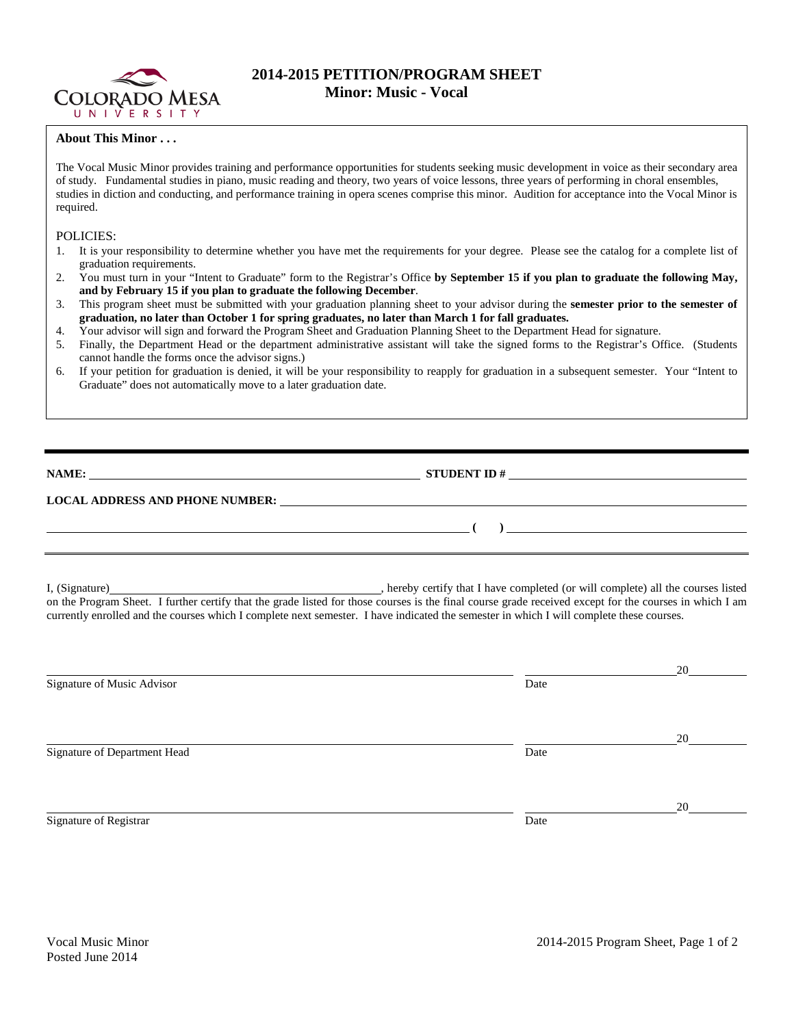

## **2014-2015 PETITION/PROGRAM SHEET Minor: Music - Vocal**

## **About This Minor . . .**

The Vocal Music Minor provides training and performance opportunities for students seeking music development in voice as their secondary area of study. Fundamental studies in piano, music reading and theory, two years of voice lessons, three years of performing in choral ensembles, studies in diction and conducting, and performance training in opera scenes comprise this minor. Audition for acceptance into the Vocal Minor is required.

## POLICIES:

- 1. It is your responsibility to determine whether you have met the requirements for your degree. Please see the catalog for a complete list of graduation requirements.
- 2. You must turn in your "Intent to Graduate" form to the Registrar's Office **by September 15 if you plan to graduate the following May, and by February 15 if you plan to graduate the following December**.
- 3. This program sheet must be submitted with your graduation planning sheet to your advisor during the **semester prior to the semester of graduation, no later than October 1 for spring graduates, no later than March 1 for fall graduates.**
- 4. Your advisor will sign and forward the Program Sheet and Graduation Planning Sheet to the Department Head for signature.
- 5. Finally, the Department Head or the department administrative assistant will take the signed forms to the Registrar's Office. (Students cannot handle the forms once the advisor signs.)
- 6. If your petition for graduation is denied, it will be your responsibility to reapply for graduation in a subsequent semester. Your "Intent to Graduate" does not automatically move to a later graduation date.

**NAME: STUDENT ID # STUDENT ID # STUDENT ID # STUDENT ID # STUDENT ID # STUDENT ID # STUDENT ID # STUDENT ID # STUDENT ID # STUDENT 1D + STUDENT 1D + STUDENT 1D + STUDENT 1D + STUDENT 1D + STU** 

**( )** 

## **LOCAL ADDRESS AND PHONE NUMBER:**

I, (Signature) **Solution** and the completed (or will completed (or will complete) all the courses listed on the Program Sheet. I further certify that the grade listed for those courses is the final course grade received except for the courses in which I am currently enrolled and the courses which I complete next semester. I have indicated the semester in which I will complete these courses.

|                              |      | 20 |
|------------------------------|------|----|
| Signature of Music Advisor   | Date |    |
|                              |      |    |
|                              |      | 20 |
| Signature of Department Head | Date |    |
|                              |      |    |
|                              |      | 20 |
| Signature of Registrar       | Date |    |
|                              |      |    |